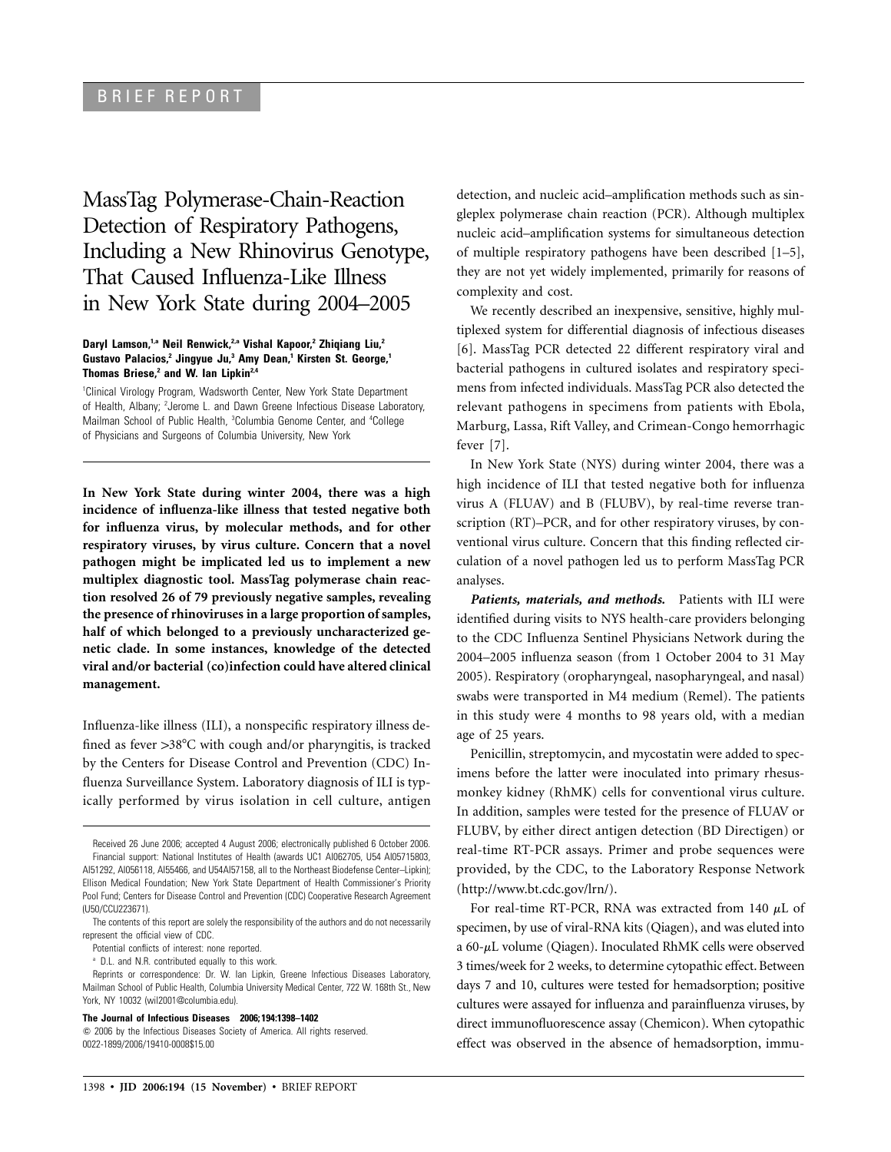MassTag Polymerase-Chain-Reaction Detection of Respiratory Pathogens, Including a New Rhinovirus Genotype, That Caused Influenza-Like Illness in New York State during 2004–2005

## **Daryl Lamson,1,a Neil Renwick,2,a Vishal Kapoor,2 Zhiqiang Liu,2 Gustavo Palacios,2 Jingyue Ju,3 Amy Dean,1 Kirsten St. George,1 Thomas Briese,2 and W. Ian Lipkin2,4**

1 Clinical Virology Program, Wadsworth Center, New York State Department of Health, Albany; <sup>2</sup> Jerome L. and Dawn Greene Infectious Disease Laboratory, Mailman School of Public Health, <sup>3</sup>Columbia Genome Center, and <sup>4</sup>College of Physicians and Surgeons of Columbia University, New York

**In New York State during winter 2004, there was a high incidence of influenza-like illness that tested negative both for influenza virus, by molecular methods, and for other respiratory viruses, by virus culture. Concern that a novel pathogen might be implicated led us to implement a new multiplex diagnostic tool. MassTag polymerase chain reaction resolved 26 of 79 previously negative samples, revealing the presence of rhinoviruses in a large proportion of samples, half of which belonged to a previously uncharacterized genetic clade. In some instances, knowledge of the detected viral and/or bacterial (co)infection could have altered clinical management.**

Influenza-like illness (ILI), a nonspecific respiratory illness defined as fever >38°C with cough and/or pharyngitis, is tracked by the Centers for Disease Control and Prevention (CDC) Influenza Surveillance System. Laboratory diagnosis of ILI is typically performed by virus isolation in cell culture, antigen

**The Journal of Infectious Diseases 2006; 194:1398–1402**

detection, and nucleic acid–amplification methods such as singleplex polymerase chain reaction (PCR). Although multiplex nucleic acid–amplification systems for simultaneous detection of multiple respiratory pathogens have been described [1–5], they are not yet widely implemented, primarily for reasons of complexity and cost.

We recently described an inexpensive, sensitive, highly multiplexed system for differential diagnosis of infectious diseases [6]. MassTag PCR detected 22 different respiratory viral and bacterial pathogens in cultured isolates and respiratory specimens from infected individuals. MassTag PCR also detected the relevant pathogens in specimens from patients with Ebola, Marburg, Lassa, Rift Valley, and Crimean-Congo hemorrhagic fever [7].

In New York State (NYS) during winter 2004, there was a high incidence of ILI that tested negative both for influenza virus A (FLUAV) and B (FLUBV), by real-time reverse transcription (RT)–PCR, and for other respiratory viruses, by conventional virus culture. Concern that this finding reflected circulation of a novel pathogen led us to perform MassTag PCR analyses.

*Patients, materials, and methods.* Patients with ILI were identified during visits to NYS health-care providers belonging to the CDC Influenza Sentinel Physicians Network during the 2004–2005 influenza season (from 1 October 2004 to 31 May 2005). Respiratory (oropharyngeal, nasopharyngeal, and nasal) swabs were transported in M4 medium (Remel). The patients in this study were 4 months to 98 years old, with a median age of 25 years.

Penicillin, streptomycin, and mycostatin were added to specimens before the latter were inoculated into primary rhesusmonkey kidney (RhMK) cells for conventional virus culture. In addition, samples were tested for the presence of FLUAV or FLUBV, by either direct antigen detection (BD Directigen) or real-time RT-PCR assays. Primer and probe sequences were provided, by the CDC, to the Laboratory Response Network (http://www.bt.cdc.gov/lrn/).

For real-time RT-PCR, RNA was extracted from 140  $\mu$ L of specimen, by use of viral-RNA kits (Qiagen), and was eluted into a  $60-\mu$ L volume (Qiagen). Inoculated RhMK cells were observed 3 times/week for 2 weeks, to determine cytopathic effect. Between days 7 and 10, cultures were tested for hemadsorption; positive cultures were assayed for influenza and parainfluenza viruses, by direct immunofluorescence assay (Chemicon). When cytopathic effect was observed in the absence of hemadsorption, immu-

Received 26 June 2006; accepted 4 August 2006; electronically published 6 October 2006. Financial support: National Institutes of Health (awards UC1 AI062705, U54 AI05715803, AI51292, AI056118, AI55466, and U54AI57158, all to the Northeast Biodefense Center–Lipkin); Ellison Medical Foundation; New York State Department of Health Commissioner's Priority Pool Fund; Centers for Disease Control and Prevention (CDC) Cooperative Research Agreement (U50/CCU223671).

The contents of this report are solely the responsibility of the authors and do not necessarily represent the official view of CDC.

Potential conflicts of interest: none reported.

<sup>&</sup>lt;sup>a</sup> D.L. and N.R. contributed equally to this work.

Reprints or correspondence: Dr. W. Ian Lipkin, Greene Infectious Diseases Laboratory, Mailman School of Public Health, Columbia University Medical Center, 722 W. 168th St., New York, NY 10032 (wil2001@columbia.edu).

2006 by the Infectious Diseases Society of America. All rights reserved. 0022-1899/2006/19410-0008\$15.00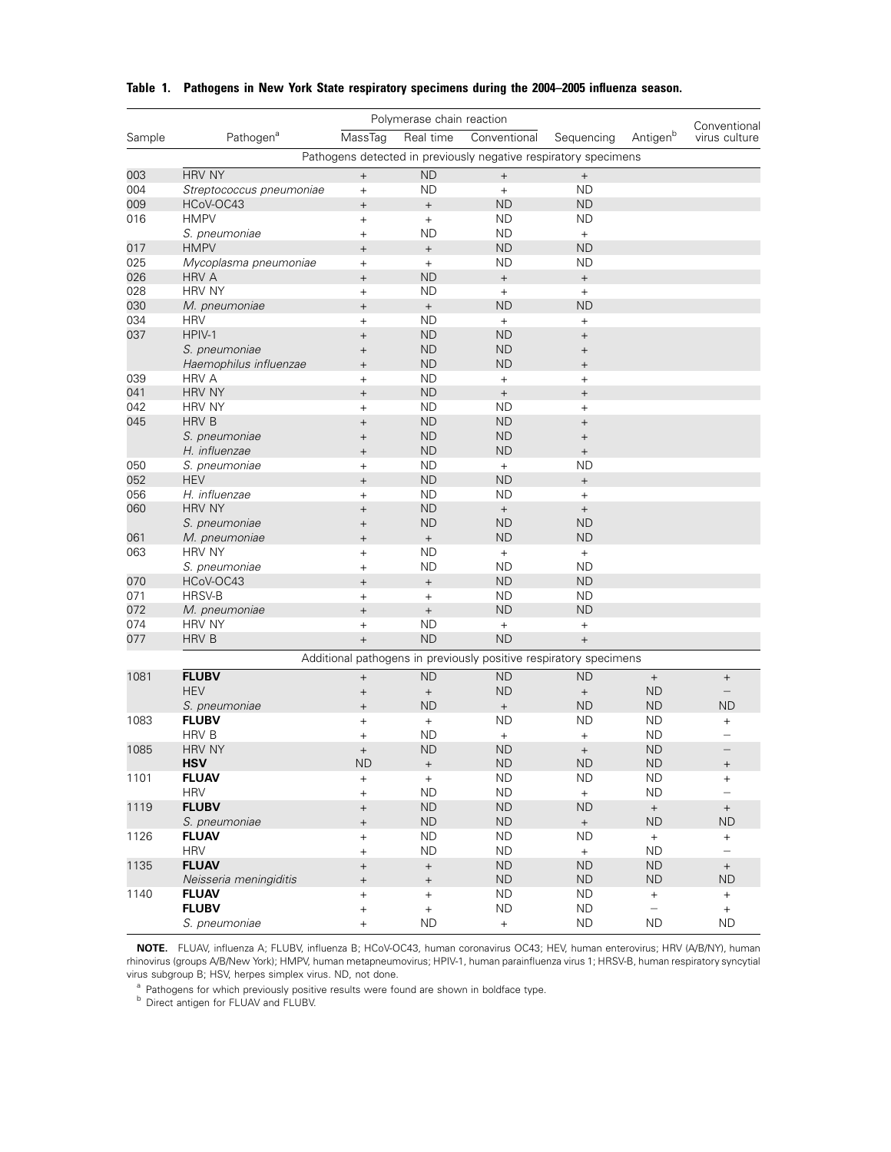| Polymerase chain reaction |                          |                   |                                  |                                                                   |                                  |                          | Conventional                     |
|---------------------------|--------------------------|-------------------|----------------------------------|-------------------------------------------------------------------|----------------------------------|--------------------------|----------------------------------|
| Sample                    | Pathogen <sup>a</sup>    | MassTag           | Real time                        | Conventional                                                      | Sequencing                       | Antigenb                 | virus culture                    |
|                           |                          |                   |                                  | Pathogens detected in previously negative respiratory specimens   |                                  |                          |                                  |
| 003                       | <b>HRV NY</b>            | $^{+}$            | <b>ND</b>                        | $\qquad \qquad +$                                                 | $^{\mathrm{+}}$                  |                          |                                  |
| 004                       | Streptococcus pneumoniae | $\boldsymbol{+}$  | <b>ND</b>                        | $+$                                                               | <b>ND</b>                        |                          |                                  |
| 009                       | HCoV-OC43                | $^{+}$            | $\ddot{}$                        | <b>ND</b>                                                         | <b>ND</b>                        |                          |                                  |
| 016                       | <b>HMPV</b>              | $^{+}$            | $\begin{array}{c} + \end{array}$ | <b>ND</b>                                                         | <b>ND</b>                        |                          |                                  |
|                           | S. pneumoniae            | $\ddot{}$         | <b>ND</b>                        | <b>ND</b>                                                         | $+$                              |                          |                                  |
| 017                       | <b>HMPV</b>              | $^{+}$            | $^{\mathrm{+}}$                  | <b>ND</b>                                                         | <b>ND</b>                        |                          |                                  |
| 025                       | Mycoplasma pneumoniae    | $\ddot{}$         | $+$                              | <b>ND</b>                                                         | <b>ND</b>                        |                          |                                  |
| 026                       | <b>HRV A</b>             | $^{+}$            | <b>ND</b>                        | $^{\mathrm{+}}$                                                   | $\qquad \qquad +$                |                          |                                  |
| 028                       | <b>HRV NY</b>            | $\ddot{}$         | <b>ND</b>                        | $+$                                                               | $+$                              |                          |                                  |
| 030                       | M. pneumoniae            | $^{+}$            | $\qquad \qquad +$                | <b>ND</b>                                                         | <b>ND</b>                        |                          |                                  |
| 034                       | <b>HRV</b>               | $^{+}$            | <b>ND</b>                        | $+$                                                               | $\begin{array}{c} + \end{array}$ |                          |                                  |
| 037                       | HPIV-1                   | $^{+}$            | <b>ND</b>                        | <b>ND</b>                                                         | $^{+}$                           |                          |                                  |
|                           | S. pneumoniae            | $^{+}$            | <b>ND</b>                        | <b>ND</b>                                                         | $^{+}$                           |                          |                                  |
|                           | Haemophilus influenzae   | $^{+}$            | <b>ND</b>                        | <b>ND</b>                                                         | $^{+}$                           |                          |                                  |
| 039                       | <b>HRV A</b>             | $^{+}$            | <b>ND</b>                        | $+$                                                               | $^{+}$                           |                          |                                  |
| 041                       | <b>HRV NY</b>            | $^{+}$            | <b>ND</b>                        | $\qquad \qquad +$                                                 | $\qquad \qquad +$                |                          |                                  |
| 042                       | <b>HRV NY</b>            | $^{+}$            | <b>ND</b>                        | <b>ND</b>                                                         | $\ddot{}$                        |                          |                                  |
| 045                       | <b>HRV B</b>             | $^{+}$            | <b>ND</b>                        | <b>ND</b>                                                         | $^{+}$                           |                          |                                  |
|                           | S. pneumoniae            | $^{+}$            | <b>ND</b>                        | <b>ND</b>                                                         | $^{+}$                           |                          |                                  |
|                           | H. influenzae            | $^{+}$            | <b>ND</b>                        | <b>ND</b>                                                         | $^{\mathrm{+}}$                  |                          |                                  |
| 050                       | S. pneumoniae            | $^{+}$            | <b>ND</b>                        | $+$                                                               | <b>ND</b>                        |                          |                                  |
| 052                       | <b>HEV</b>               | $^{+}$            | <b>ND</b>                        | <b>ND</b>                                                         | $^{+}$                           |                          |                                  |
| 056                       | H. influenzae            | $^{+}$            | <b>ND</b>                        | <b>ND</b>                                                         | $+$                              |                          |                                  |
| 060                       | <b>HRV NY</b>            | $^{+}$            | <b>ND</b>                        | $\boldsymbol{+}$                                                  | $^{\mathrm{+}}$                  |                          |                                  |
|                           | S. pneumoniae            | $^{+}$            | <b>ND</b>                        | <b>ND</b>                                                         | <b>ND</b>                        |                          |                                  |
| 061                       | M. pneumoniae            | $^{+}$            | $^{\mathrm{+}}$                  | <b>ND</b>                                                         | <b>ND</b>                        |                          |                                  |
| 063                       | <b>HRV NY</b>            | $\ddot{}$         | <b>ND</b>                        | $+$                                                               | $\pm$                            |                          |                                  |
|                           | S. pneumoniae            | $^{+}$            | <b>ND</b>                        | <b>ND</b>                                                         | <b>ND</b>                        |                          |                                  |
| 070                       | HCoV-OC43                | $^{+}$            | $\qquad \qquad +$                | <b>ND</b>                                                         | <b>ND</b>                        |                          |                                  |
| 071                       | HRSV-B                   | $\ddot{}$         | $+$                              | <b>ND</b>                                                         | <b>ND</b>                        |                          |                                  |
| 072                       | M. pneumoniae            | $^{+}$            | $^{\mathrm{+}}$                  | <b>ND</b>                                                         | <b>ND</b>                        |                          |                                  |
| 074                       | <b>HRV NY</b>            | $\ddot{}$         | <b>ND</b>                        | $+$                                                               | $\ddot{}$                        |                          |                                  |
| 077                       | <b>HRV B</b>             | $\qquad \qquad +$ | <b>ND</b>                        | <b>ND</b>                                                         | $^{\mathrm{+}}$                  |                          |                                  |
|                           |                          |                   |                                  | Additional pathogens in previously positive respiratory specimens |                                  |                          |                                  |
| 1081                      | <b>FLUBV</b>             | $^{+}$            | <b>ND</b>                        | <b>ND</b>                                                         | <b>ND</b>                        | $^+$                     | $\qquad \qquad +$                |
|                           | <b>HEV</b>               | $^{+}$            | $^+$                             | <b>ND</b>                                                         | $^{\mathrm{+}}$                  | <b>ND</b>                |                                  |
|                           | S. pneumoniae            | $^{+}$            | <b>ND</b>                        | $\qquad \qquad +$                                                 | <b>ND</b>                        | <b>ND</b>                | <b>ND</b>                        |
| 1083                      | <b>FLUBV</b>             | $\ddot{}$         | $\begin{array}{c} + \end{array}$ | <b>ND</b>                                                         | <b>ND</b>                        | <b>ND</b>                | $+$                              |
|                           | <b>HRV B</b>             | $^{+}$            | ND                               | $\begin{array}{c} + \end{array}$                                  | $^{+}$                           | <b>ND</b>                |                                  |
| 1085                      | <b>HRV NY</b>            | $^{+}$            | <b>ND</b>                        | <b>ND</b>                                                         | $\qquad \qquad +$                | <b>ND</b>                |                                  |
|                           | <b>HSV</b>               | <b>ND</b>         | $\! + \!$                        | ${\sf ND}$                                                        | <b>ND</b>                        | ND                       |                                  |
| 1101                      | <b>FLUAV</b>             | $\overline{+}$    | $+$                              | <b>ND</b>                                                         | ND                               | ND                       | $^{+}$                           |
|                           | <b>HRV</b>               | $\ddot{}$         | <b>ND</b>                        | <b>ND</b>                                                         | $+$                              | <b>ND</b>                |                                  |
| 1119                      | <b>FLUBV</b>             | $^{+}$            | <b>ND</b>                        | ${\sf ND}$                                                        | <b>ND</b>                        | $^+$                     | $^+$                             |
|                           | S. pneumoniae            | $^{+}$            | <b>ND</b>                        | <b>ND</b>                                                         | $\boldsymbol{+}$                 | <b>ND</b>                | <b>ND</b>                        |
| 1126                      | <b>FLUAV</b>             | $^{+}$            | <b>ND</b>                        | <b>ND</b>                                                         | ND                               | $\boldsymbol{+}$         | $\boldsymbol{+}$                 |
|                           | <b>HRV</b>               | $^{+}$            | <b>ND</b>                        | ND.                                                               | $\begin{array}{c} + \end{array}$ | <b>ND</b>                | $\overline{\phantom{0}}$         |
| 1135                      | <b>FLUAV</b>             | $^{+}$            | $^+$                             | <b>ND</b>                                                         | <b>ND</b>                        | <b>ND</b>                | $+$                              |
|                           | Neisseria meningiditis   | $^{+}$            | $^{+}$                           | ${\sf ND}$                                                        | ${\sf ND}$                       | ND                       | <b>ND</b>                        |
| 1140                      | <b>FLUAV</b>             | $^{+}$            | $\! + \!$                        | <b>ND</b>                                                         | <b>ND</b>                        | $\ddag$                  | $\pm$                            |
|                           | <b>FLUBV</b>             | $\ddot{}$         | $^+$                             | <b>ND</b>                                                         | <b>ND</b>                        | $\overline{\phantom{0}}$ | $\begin{array}{c} + \end{array}$ |
|                           | S. pneumoniae            | $^{+}$            | <b>ND</b>                        | $+$                                                               | <b>ND</b>                        | <b>ND</b>                | <b>ND</b>                        |
|                           |                          |                   |                                  |                                                                   |                                  |                          |                                  |

## **Table 1. Pathogens in New York State respiratory specimens during the 2004–2005 influenza season.**

**NOTE.** FLUAV, influenza A; FLUBV, influenza B; HCoV-OC43, human coronavirus OC43; HEV, human enterovirus; HRV (A/B/NY), human rhinovirus (groups A/B/New York); HMPV, human metapneumovirus; HPIV-1, human parainfluenza virus 1; HRSV-B, human respiratory syncytial virus subgroup B; HSV, herpes simplex virus. ND, not done.

a Pathogens for which previously positive results were found are shown in boldface type.<br>b Direct antigen for FLUAV and FLUBV.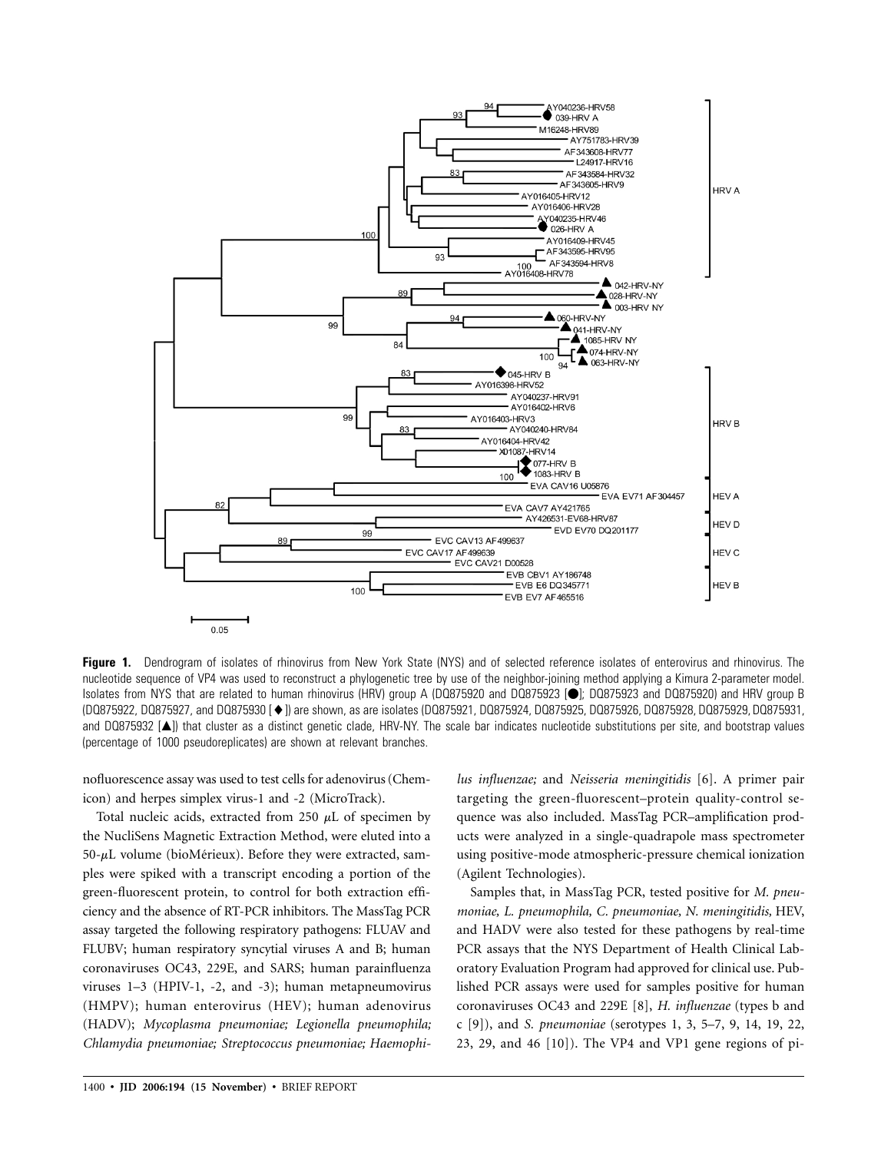

Figure 1. Dendrogram of isolates of rhinovirus from New York State (NYS) and of selected reference isolates of enterovirus and rhinovirus. The nucleotide sequence of VP4 was used to reconstruct a phylogenetic tree by use of the neighbor-joining method applying a Kimura 2-parameter model. Isolates from NYS that are related to human rhinovirus (HRV) group A (DQ875920 and DQ875923 [<sup>6</sup>]; DQ875923 and DQ875920) and HRV group B (DQ875922, DQ875927, and DQ875930 []) are shown, as are isolates (DQ875921, DQ875924, DQ875925, DQ875926, DQ875928, DQ875929, DQ875931, and DQ875932 [A]) that cluster as a distinct genetic clade, HRV-NY. The scale bar indicates nucleotide substitutions per site, and bootstrap values (percentage of 1000 pseudoreplicates) are shown at relevant branches.

nofluorescence assay was used to test cells for adenovirus (Chemicon) and herpes simplex virus-1 and -2 (MicroTrack).

Total nucleic acids, extracted from 250  $\mu$ L of specimen by the NucliSens Magnetic Extraction Method, were eluted into a  $50-\mu L$  volume (bioMérieux). Before they were extracted, samples were spiked with a transcript encoding a portion of the green-fluorescent protein, to control for both extraction efficiency and the absence of RT-PCR inhibitors. The MassTag PCR assay targeted the following respiratory pathogens: FLUAV and FLUBV; human respiratory syncytial viruses A and B; human coronaviruses OC43, 229E, and SARS; human parainfluenza viruses 1–3 (HPIV-1, -2, and -3); human metapneumovirus (HMPV); human enterovirus (HEV); human adenovirus (HADV); *Mycoplasma pneumoniae; Legionella pneumophila; Chlamydia pneumoniae; Streptococcus pneumoniae; Haemophi-* *lus influenzae;* and *Neisseria meningitidis* [6]. A primer pair targeting the green-fluorescent–protein quality-control sequence was also included. MassTag PCR–amplification products were analyzed in a single-quadrapole mass spectrometer using positive-mode atmospheric-pressure chemical ionization (Agilent Technologies).

Samples that, in MassTag PCR, tested positive for *M. pneumoniae, L. pneumophila, C. pneumoniae, N. meningitidis,* HEV, and HADV were also tested for these pathogens by real-time PCR assays that the NYS Department of Health Clinical Laboratory Evaluation Program had approved for clinical use. Published PCR assays were used for samples positive for human coronaviruses OC43 and 229E [8], *H. influenzae* (types b and c [9]), and *S. pneumoniae* (serotypes 1, 3, 5–7, 9, 14, 19, 22, 23, 29, and 46 [10]). The VP4 and VP1 gene regions of pi-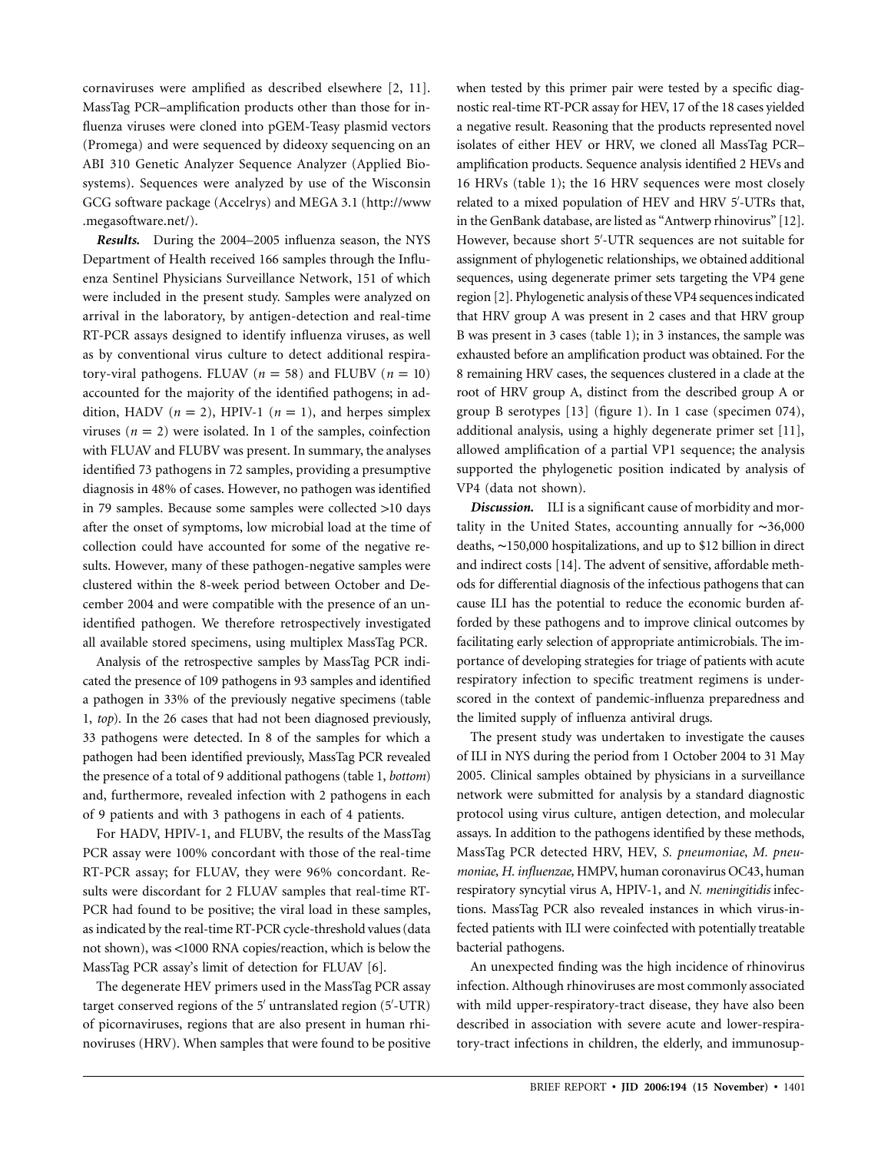cornaviruses were amplified as described elsewhere [2, 11]. MassTag PCR–amplification products other than those for influenza viruses were cloned into pGEM-Teasy plasmid vectors (Promega) and were sequenced by dideoxy sequencing on an ABI 310 Genetic Analyzer Sequence Analyzer (Applied Biosystems). Sequences were analyzed by use of the Wisconsin GCG software package (Accelrys) and MEGA 3.1 (http://www .megasoftware.net/).

*Results.* During the 2004–2005 influenza season, the NYS Department of Health received 166 samples through the Influenza Sentinel Physicians Surveillance Network, 151 of which were included in the present study. Samples were analyzed on arrival in the laboratory, by antigen-detection and real-time RT-PCR assays designed to identify influenza viruses, as well as by conventional virus culture to detect additional respiratory-viral pathogens. FLUAV ( $n = 58$ ) and FLUBV ( $n = 10$ ) accounted for the majority of the identified pathogens; in addition, HADV ( $n = 2$ ), HPIV-1 ( $n = 1$ ), and herpes simplex viruses  $(n = 2)$  were isolated. In 1 of the samples, coinfection with FLUAV and FLUBV was present. In summary, the analyses identified 73 pathogens in 72 samples, providing a presumptive diagnosis in 48% of cases. However, no pathogen was identified in 79 samples. Because some samples were collected >10 days after the onset of symptoms, low microbial load at the time of collection could have accounted for some of the negative results. However, many of these pathogen-negative samples were clustered within the 8-week period between October and December 2004 and were compatible with the presence of an unidentified pathogen. We therefore retrospectively investigated all available stored specimens, using multiplex MassTag PCR.

Analysis of the retrospective samples by MassTag PCR indicated the presence of 109 pathogens in 93 samples and identified a pathogen in 33% of the previously negative specimens (table 1, *top*). In the 26 cases that had not been diagnosed previously, 33 pathogens were detected. In 8 of the samples for which a pathogen had been identified previously, MassTag PCR revealed the presence of a total of 9 additional pathogens (table 1, *bottom*) and, furthermore, revealed infection with 2 pathogens in each of 9 patients and with 3 pathogens in each of 4 patients.

For HADV, HPIV-1, and FLUBV, the results of the MassTag PCR assay were 100% concordant with those of the real-time RT-PCR assay; for FLUAV, they were 96% concordant. Results were discordant for 2 FLUAV samples that real-time RT-PCR had found to be positive; the viral load in these samples, as indicated by the real-time RT-PCR cycle-threshold values (data not shown), was <1000 RNA copies/reaction, which is below the MassTag PCR assay's limit of detection for FLUAV [6].

The degenerate HEV primers used in the MassTag PCR assay target conserved regions of the 5' untranslated region (5'-UTR) of picornaviruses, regions that are also present in human rhinoviruses (HRV). When samples that were found to be positive

when tested by this primer pair were tested by a specific diagnostic real-time RT-PCR assay for HEV, 17 of the 18 cases yielded a negative result. Reasoning that the products represented novel isolates of either HEV or HRV, we cloned all MassTag PCR– amplification products. Sequence analysis identified 2 HEVs and 16 HRVs (table 1); the 16 HRV sequences were most closely related to a mixed population of HEV and HRV 5'-UTRs that, in the GenBank database, are listed as "Antwerp rhinovirus" [12]. However, because short 5 -UTR sequences are not suitable for assignment of phylogenetic relationships, we obtained additional sequences, using degenerate primer sets targeting the VP4 gene region [2]. Phylogenetic analysis of these VP4 sequences indicated that HRV group A was present in 2 cases and that HRV group B was present in 3 cases (table 1); in 3 instances, the sample was exhausted before an amplification product was obtained. For the 8 remaining HRV cases, the sequences clustered in a clade at the root of HRV group A, distinct from the described group A or group B serotypes [13] (figure 1). In 1 case (specimen 074), additional analysis, using a highly degenerate primer set [11], allowed amplification of a partial VP1 sequence; the analysis supported the phylogenetic position indicated by analysis of VP4 (data not shown).

*Discussion.* ILI is a significant cause of morbidity and mortality in the United States, accounting annually for ∼36,000 deaths, ∼150,000 hospitalizations, and up to \$12 billion in direct and indirect costs [14]. The advent of sensitive, affordable methods for differential diagnosis of the infectious pathogens that can cause ILI has the potential to reduce the economic burden afforded by these pathogens and to improve clinical outcomes by facilitating early selection of appropriate antimicrobials. The importance of developing strategies for triage of patients with acute respiratory infection to specific treatment regimens is underscored in the context of pandemic-influenza preparedness and the limited supply of influenza antiviral drugs.

The present study was undertaken to investigate the causes of ILI in NYS during the period from 1 October 2004 to 31 May 2005. Clinical samples obtained by physicians in a surveillance network were submitted for analysis by a standard diagnostic protocol using virus culture, antigen detection, and molecular assays. In addition to the pathogens identified by these methods, MassTag PCR detected HRV, HEV, *S. pneumoniae*, *M. pneumoniae, H. influenzae,* HMPV, human coronavirus OC43, human respiratory syncytial virus A, HPIV-1, and *N. meningitidis* infections. MassTag PCR also revealed instances in which virus-infected patients with ILI were coinfected with potentially treatable bacterial pathogens.

An unexpected finding was the high incidence of rhinovirus infection. Although rhinoviruses are most commonly associated with mild upper-respiratory-tract disease, they have also been described in association with severe acute and lower-respiratory-tract infections in children, the elderly, and immunosup